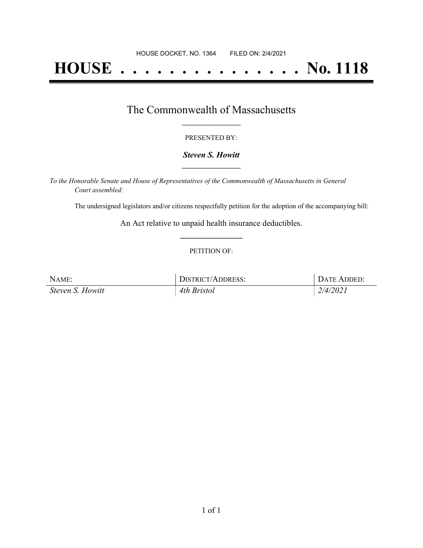# **HOUSE . . . . . . . . . . . . . . . No. 1118**

### The Commonwealth of Massachusetts **\_\_\_\_\_\_\_\_\_\_\_\_\_\_\_\_\_**

#### PRESENTED BY:

#### *Steven S. Howitt* **\_\_\_\_\_\_\_\_\_\_\_\_\_\_\_\_\_**

*To the Honorable Senate and House of Representatives of the Commonwealth of Massachusetts in General Court assembled:*

The undersigned legislators and/or citizens respectfully petition for the adoption of the accompanying bill:

An Act relative to unpaid health insurance deductibles. **\_\_\_\_\_\_\_\_\_\_\_\_\_\_\_**

#### PETITION OF:

| NAME:            | DISTRICT/ADDRESS: | DATE ADDED: |
|------------------|-------------------|-------------|
| Steven S. Howitt | 4th Bristol       | 2/4/2021    |